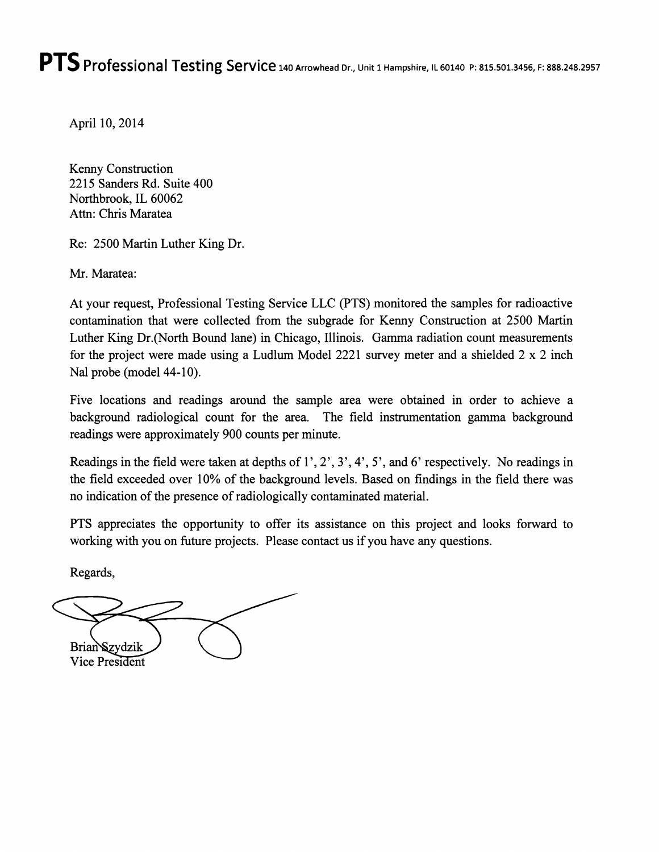## **PTS** Professional Testing Service 140 Arrowhead Dr., Unit 1 Hampshire, IL 60140 P: 815.501.3456, F: 888.248.2957

April 10, 2014

Kenny Construction 2215 Sanders Rd. Suite 400 Northbrook, IL 60062 Attn: Chris Maratea

Re: 2500 Martin Luther King Dr.

Mr. Maratea:

At your request, Professional Testing Service LLC (PTS) monitored the samples for radioactive contamination that were collected from the subgrade for Kenny Construction at 2500 Martin Luther King Dr.(North Bound lane) in Chicago, Illinois. Gamma radiation count measurements for the project were made using a Ludlum Model 2221 survey meter and a shielded 2 x 2 inch Nal probe (model 44-10).

Five locations and readings around the sample area were obtained in order to achieve a background radiological count for the area. The field instrumentation gamma background readings were approximately 900 counts per minute.

Readings in the field were taken at depths of 1', 2', 3', 4', 5', and 6' respectively. No readings in the field exceeded over 10% of the background levels. Based on findings in the field there was no indication of the presence of radiologically contaminated material.

PTS appreciates the opportunity to offer its assistance on this project and looks forward to working with you on future projects. Please contact us if you have any questions.

Regards,

Brian Szydzik Vice President